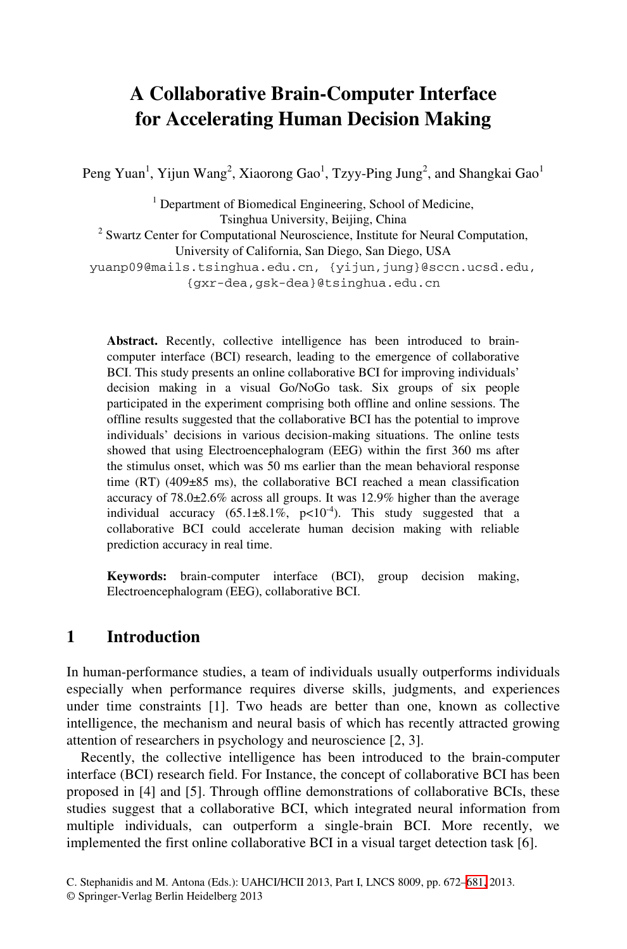# **A Collaborative Brain-Computer Interface for Accelerating Human Decision Making**

Peng Yuan<sup>1</sup>, Yijun Wang<sup>2</sup>, Xiaorong Gao<sup>1</sup>, Tzyy-Ping Jung<sup>2</sup>, and Shangkai Gao<sup>1</sup>

<sup>1</sup> Department of Biomedical Engineering, School of Medicine, Tsinghua University, Beijing, China<br><sup>2</sup> Swartz Center for Computational Neuroscience, Institute for Neural Computation, University of California, San Diego, San Diego, USA yuanp09@mails.tsinghua.edu.cn, {yijun,jung}@sccn.ucsd.edu, {gxr-dea,gsk-dea}@tsinghua.edu.cn

Abstract. Recently, collective intelligence has been introduced to braincomputer interface (BCI) research, leading to the emergence of collaborative BCI. This study presents an online collaborative BCI for improving individuals' decision making in a visual Go/NoGo task. Six groups of six people participated in the experiment comprising both offline and online sessions. The offline results suggested that the collaborative BCI has the potential to improve individuals' decisions in various decision-making situations. The online tests showed that using Electroencephalogram (EEG) within the first 360 ms after the stimulus onset, which was 50 ms earlier than the mean behavioral response time (RT) (409±85 ms), the collaborative BCI reached a mean classification accuracy of 78.0±2.6% across all groups. It was 12.9% higher than the average individual accuracy  $(65.1\pm8.1\% , p<10^{-4})$ . This study suggested that a collaborative BCI could accelerate human decision making with reliable prediction accuracy in real time.

**Keywords:** brain-computer interface (BCI), group decision making, Electroencephalogram (EEG), collaborative BCI.

### **1 Introduction**

In human-performance studies, a team of individuals usually outperforms individuals especially when performance requires diverse skills, judgments, and experiences under time constraints [1]. Two heads are better than one, known as collective intelligence, the mechanism and neural basis of which has recently attracted growing attention of researchers in psychology and neuroscience [2, 3].

Recently, the collective intelligence has been [int](#page-9-0)roduced to the brain-computer interface (BCI) research field. For Instance, the concept of collaborative BCI has been proposed in [4] and [5]. Through offline demonstrations of collaborative BCIs, these studies suggest that a collaborative BCI, which integrated neural information from multiple individuals, can outperform a single-brain BCI. More recently, we implemented the first online collaborative BCI in a visual target detection task [6].

C. Stephanidis and M. Antona (Eds.): UAHCI/HCII 2013, Part I, LNCS 8009, pp. 672–681, 2013.

<sup>©</sup> Springer-Verlag Berlin Heidelberg 2013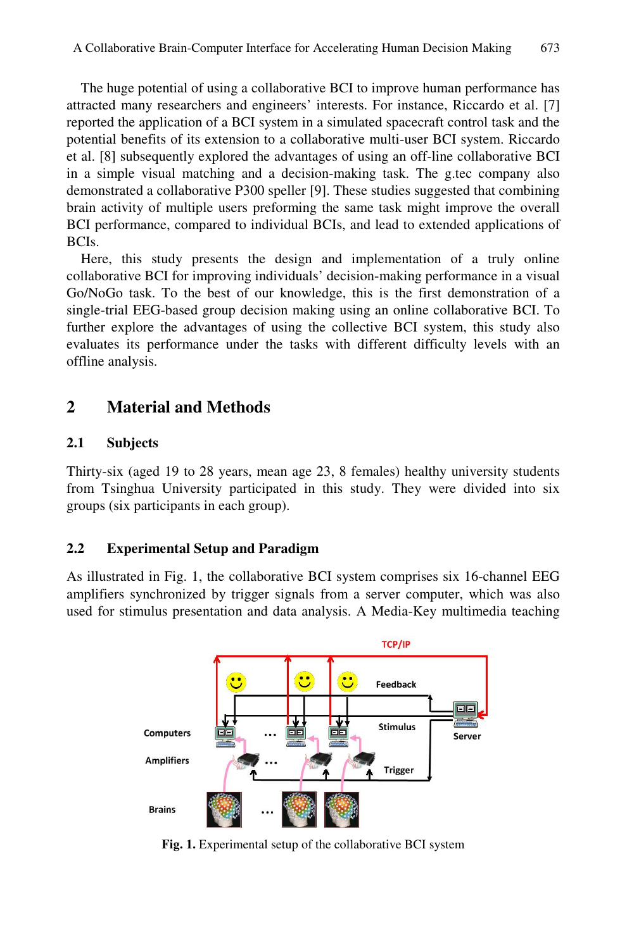The huge potential of using a collaborative BCI to improve human performance has attracted many researchers and engineers' interests. For instance, Riccardo et al. [7] reported the application of a BCI system in a simulated spacecraft control task and the potential benefits of its extension to a collaborative multi-user BCI system. Riccardo et al. [8] subsequently explored the advantages of using an off-line collaborative BCI in a simple visual matching and a decision-making task. The g.tec company also demonstrated a collaborative P300 speller [9]. These studies suggested that combining brain activity of multiple users preforming the same task might improve the overall BCI performance, compared to individual BCIs, and lead to extended applications of BCIs.

Here, this study presents the design and implementation of a truly online collaborative BCI for improving individuals' decision-making performance in a visual Go/NoGo task. To the best of our knowledge, this is the first demonstration of a single-trial EEG-based group decision making using an online collaborative BCI. To further explore the advantages of using the collective BCI system, this study also evaluates its performance under the tasks with different difficulty levels with an offline analysis.

# **2 Material and Methods**

### **2.1 Subjects**

Thirty-six (aged 19 to 28 years, mean age 23, 8 females) healthy university students from Tsinghua University participated in this study. They were divided into six groups (six participants in each group).

### **2.2 Experimental Setup and Paradigm**

As illustrated in Fig. 1, the collaborative BCI system comprises six 16-channel EEG amplifiers synchronized by trigger signals from a server computer, which was also used for stimulus presentation and data analysis. A Media-Key multimedia teaching



**Fig. 1.** Experimental setup of the collaborative BCI system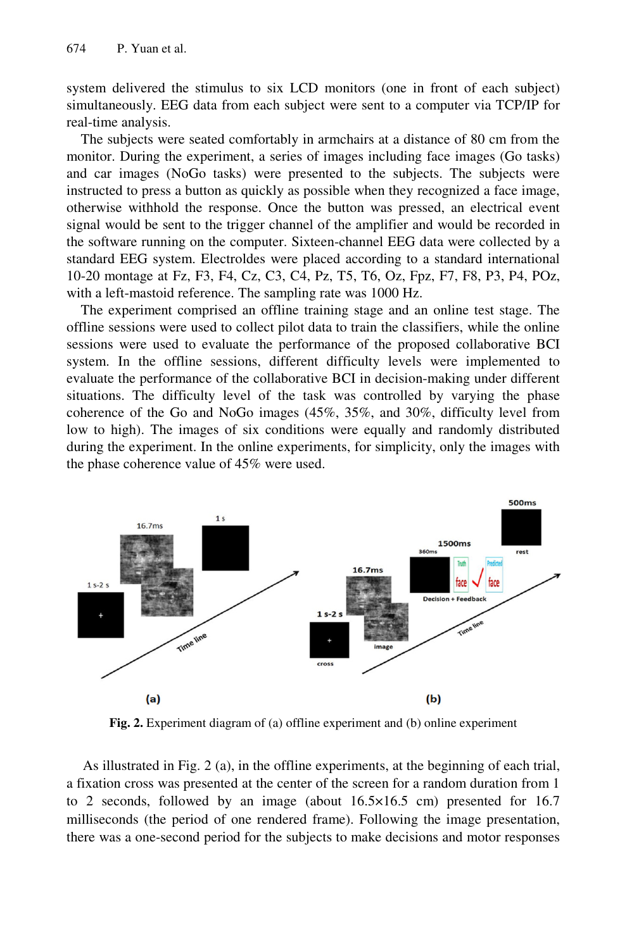system delivered the stimulus to six LCD monitors (one in front of each subject) simultaneously. EEG data from each subject were sent to a computer via TCP/IP for real-time analysis.

The subjects were seated comfortably in armchairs at a distance of 80 cm from the monitor. During the experiment, a series of images including face images (Go tasks) and car images (NoGo tasks) were presented to the subjects. The subjects were instructed to press a button as quickly as possible when they recognized a face image, otherwise withhold the response. Once the button was pressed, an electrical event signal would be sent to the trigger channel of the amplifier and would be recorded in the software running on the computer. Sixteen-channel EEG data were collected by a standard EEG system. Electroldes were placed according to a standard international 10-20 montage at Fz, F3, F4, Cz, C3, C4, Pz, T5, T6, Oz, Fpz, F7, F8, P3, P4, POz, with a left-mastoid reference. The sampling rate was 1000 Hz.

The experiment comprised an offline training stage and an online test stage. The offline sessions were used to collect pilot data to train the classifiers, while the online sessions were used to evaluate the performance of the proposed collaborative BCI system. In the offline sessions, different difficulty levels were implemented to evaluate the performance of the collaborative BCI in decision-making under different situations. The difficulty level of the task was controlled by varying the phase coherence of the Go and NoGo images (45%, 35%, and 30%, difficulty level from low to high). The images of six conditions were equally and randomly distributed during the experiment. In the online experiments, for simplicity, only the images with the phase coherence value of 45% were used.



**Fig. 2.** Experiment diagram of (a) offline experiment and (b) online experiment

As illustrated in Fig. 2 (a), in the offline experiments, at the beginning of each trial, a fixation cross was presented at the center of the screen for a random duration from 1 to 2 seconds, followed by an image (about 16.5×16.5 cm) presented for 16.7 milliseconds (the period of one rendered frame). Following the image presentation, there was a one-second period for the subjects to make decisions and motor responses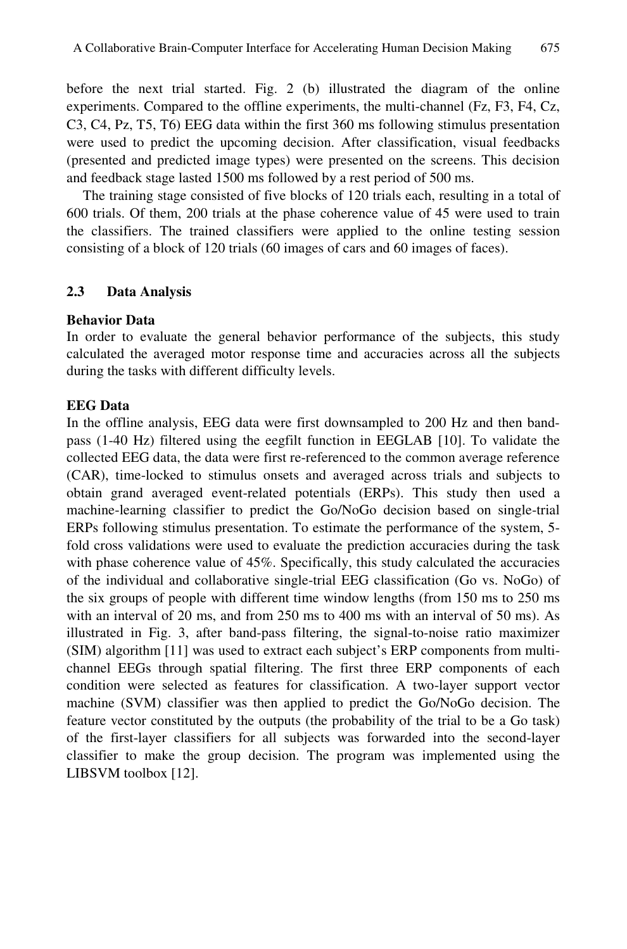before the next trial started. Fig. 2 (b) illustrated the diagram of the online experiments. Compared to the offline experiments, the multi-channel (Fz, F3, F4, Cz, C3, C4, Pz, T5, T6) EEG data within the first 360 ms following stimulus presentation were used to predict the upcoming decision. After classification, visual feedbacks (presented and predicted image types) were presented on the screens. This decision and feedback stage lasted 1500 ms followed by a rest period of 500 ms.

The training stage consisted of five blocks of 120 trials each, resulting in a total of 600 trials. Of them, 200 trials at the phase coherence value of 45 were used to train the classifiers. The trained classifiers were applied to the online testing session consisting of a block of 120 trials (60 images of cars and 60 images of faces).

#### **2.3 Data Analysis**

#### **Behavior Data**

In order to evaluate the general behavior performance of the subjects, this study calculated the averaged motor response time and accuracies across all the subjects during the tasks with different difficulty levels.

#### **EEG Data**

In the offline analysis, EEG data were first downsampled to 200 Hz and then bandpass (1-40 Hz) filtered using the eegfilt function in EEGLAB [10]. To validate the collected EEG data, the data were first re-referenced to the common average reference (CAR), time-locked to stimulus onsets and averaged across trials and subjects to obtain grand averaged event-related potentials (ERPs). This study then used a machine-learning classifier to predict the Go/NoGo decision based on single-trial ERPs following stimulus presentation. To estimate the performance of the system, 5 fold cross validations were used to evaluate the prediction accuracies during the task with phase coherence value of 45%. Specifically, this study calculated the accuracies of the individual and collaborative single-trial EEG classification (Go vs. NoGo) of the six groups of people with different time window lengths (from 150 ms to 250 ms with an interval of 20 ms, and from 250 ms to 400 ms with an interval of 50 ms). As illustrated in Fig. 3, after band-pass filtering, the signal-to-noise ratio maximizer (SIM) algorithm [11] was used to extract each subject's ERP components from multichannel EEGs through spatial filtering. The first three ERP components of each condition were selected as features for classification. A two-layer support vector machine (SVM) classifier was then applied to predict the Go/NoGo decision. The feature vector constituted by the outputs (the probability of the trial to be a Go task) of the first-layer classifiers for all subjects was forwarded into the second-layer classifier to make the group decision. The program was implemented using the LIBSVM toolbox [12].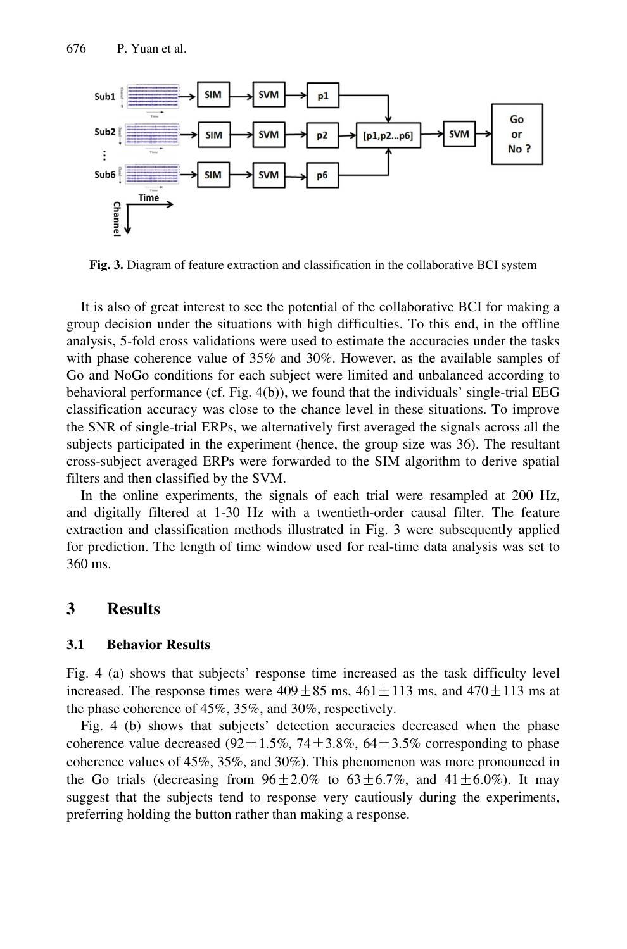

**Fig. 3.** Diagram of feature extraction and classification in the collaborative BCI system

It is also of great interest to see the potential of the collaborative BCI for making a group decision under the situations with high difficulties. To this end, in the offline analysis, 5-fold cross validations were used to estimate the accuracies under the tasks with phase coherence value of 35% and 30%. However, as the available samples of Go and NoGo conditions for each subject were limited and unbalanced according to behavioral performance (cf. Fig. 4(b)), we found that the individuals' single-trial EEG classification accuracy was close to the chance level in these situations. To improve the SNR of single-trial ERPs, we alternatively first averaged the signals across all the subjects participated in the experiment (hence, the group size was 36). The resultant cross-subject averaged ERPs were forwarded to the SIM algorithm to derive spatial filters and then classified by the SVM.

In the online experiments, the signals of each trial were resampled at 200 Hz, and digitally filtered at 1-30 Hz with a twentieth-order causal filter. The feature extraction and classification methods illustrated in Fig. 3 were subsequently applied for prediction. The length of time window used for real-time data analysis was set to 360 ms.

### **3 Results**

#### **3.1 Behavior Results**

Fig. 4 (a) shows that subjects' response time increased as the task difficulty level increased. The response times were  $409 \pm 85$  ms,  $461 \pm 113$  ms, and  $470 \pm 113$  ms at the phase coherence of 45%, 35%, and 30%, respectively.

Fig. 4 (b) shows that subjects' detection accuracies decreased when the phase coherence value decreased (92 $\pm$ 1.5%, 74 $\pm$ 3.8%, 64 $\pm$ 3.5% corresponding to phase coherence values of 45%, 35%, and 30%). This phenomenon was more pronounced in the Go trials (decreasing from  $96 \pm 2.0\%$  to  $63 \pm 6.7\%$ , and  $41 \pm 6.0\%$ ). It may suggest that the subjects tend to response very cautiously during the experiments, preferring holding the button rather than making a response.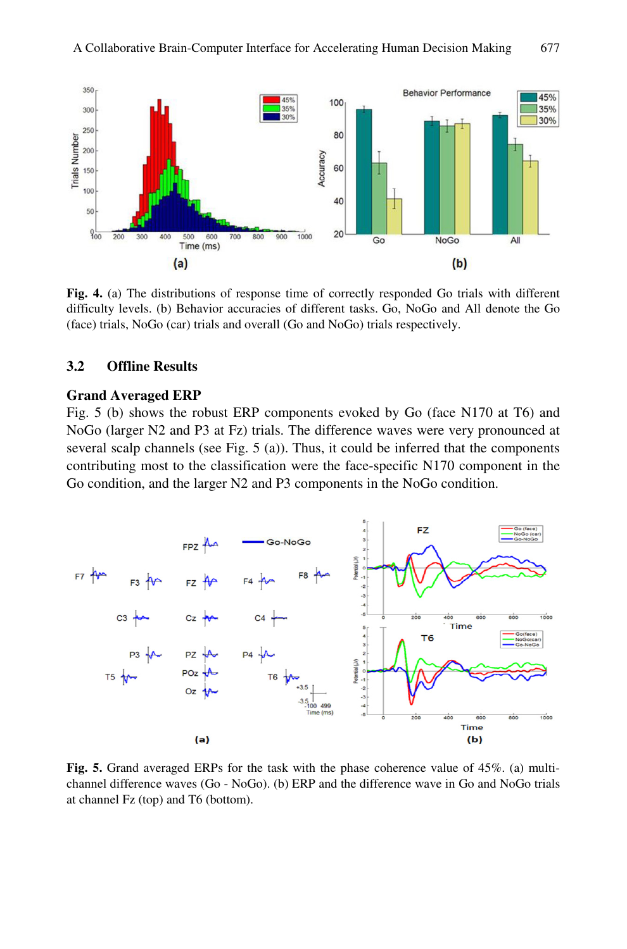

**Fig. 4.** (a) The distributions of response time of correctly responded Go trials with different difficulty levels. (b) Behavior accuracies of different tasks. Go, NoGo and All denote the Go (face) trials, NoGo (car) trials and overall (Go and NoGo) trials respectively.

#### **3.2 Offline Results**

#### **Grand Averaged ERP**

Fig. 5 (b) shows the robust ERP components evoked by Go (face N170 at T6) and NoGo (larger N2 and P3 at Fz) trials. The difference waves were very pronounced at several scalp channels (see Fig.  $5$  (a)). Thus, it could be inferred that the components contributing most to the classification were the face-specific N170 component in the Go condition, and the larger N2 and P3 components in the NoGo condition.



**Fig. 5.** Grand averaged ERPs for the task with the phase coherence value of 45%. (a) multichannel difference waves (Go - NoGo). (b) ERP and the difference wave in Go and NoGo trials at channel Fz (top) and T6 (bottom).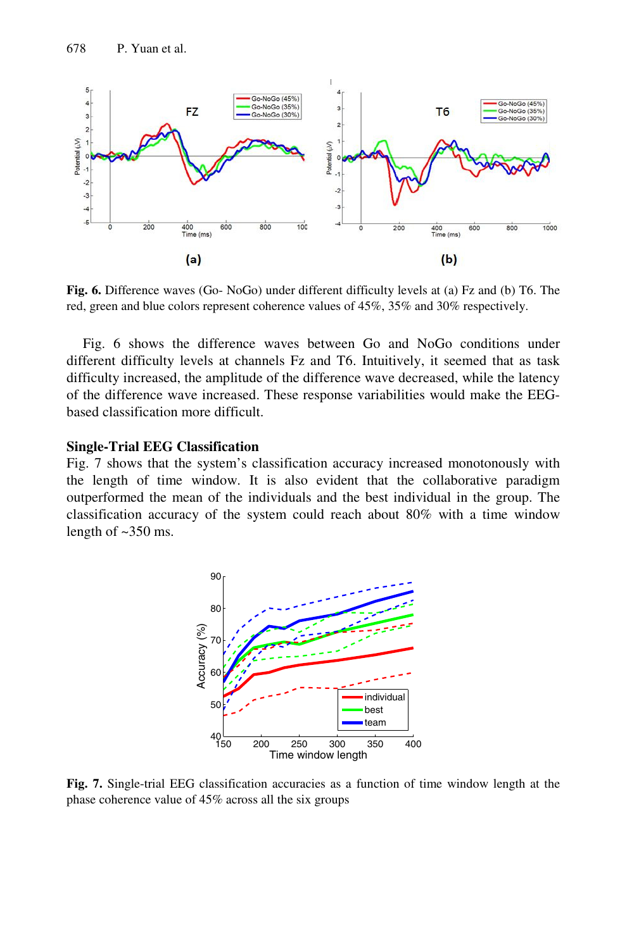

**Fig. 6.** Difference waves (Go- NoGo) under different difficulty levels at (a) Fz and (b) T6. The red, green and blue colors represent coherence values of 45%, 35% and 30% respectively.

Fig. 6 shows the difference waves between Go and NoGo conditions under different difficulty levels at channels Fz and T6. Intuitively, it seemed that as task difficulty increased, the amplitude of the difference wave decreased, while the latency of the difference wave increased. These response variabilities would make the EEGbased classification more difficult.

#### **Single-Trial EEG Classification**

Fig. 7 shows that the system's classification accuracy increased monotonously with the length of time window. It is also evident that the collaborative paradigm outperformed the mean of the individuals and the best individual in the group. The classification accuracy of the system could reach about 80% with a time window length of  $\sim$ 350 ms.



**Fig. 7.** Single-trial EEG classification accuracies as a function of time window length at the phase coherence value of 45% across all the six groups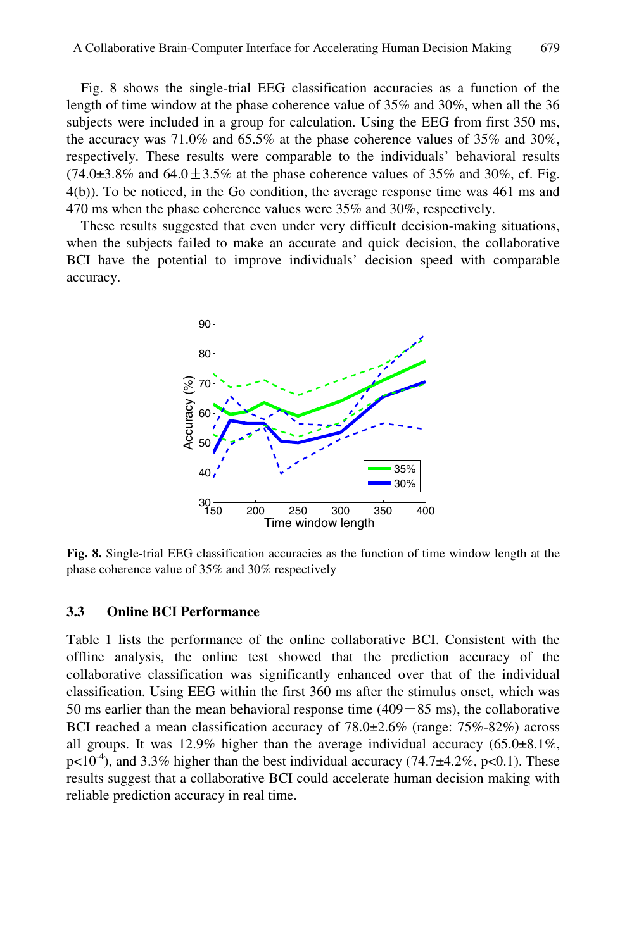Fig. 8 shows the single-trial EEG classification accuracies as a function of the length of time window at the phase coherence value of 35% and 30%, when all the 36 subjects were included in a group for calculation. Using the EEG from first 350 ms, the accuracy was 71.0% and 65.5% at the phase coherence values of 35% and 30%, respectively. These results were comparable to the individuals' behavioral results  $(74.0\pm3.8\%$  and  $64.0\pm3.5\%$  at the phase coherence values of 35% and 30%, cf. Fig. 4(b)). To be noticed, in the Go condition, the average response time was 461 ms and 470 ms when the phase coherence values were 35% and 30%, respectively.

These results suggested that even under very difficult decision-making situations, when the subjects failed to make an accurate and quick decision, the collaborative BCI have the potential to improve individuals' decision speed with comparable accuracy.



**Fig. 8.** Single-trial EEG classification accuracies as the function of time window length at the phase coherence value of 35% and 30% respectively

#### **3.3 Online BCI Performance**

Table 1 lists the performance of the online collaborative BCI. Consistent with the offline analysis, the online test showed that the prediction accuracy of the collaborative classification was significantly enhanced over that of the individual classification. Using EEG within the first 360 ms after the stimulus onset, which was 50 ms earlier than the mean behavioral response time  $(409 \pm 85 \text{ ms})$ , the collaborative BCI reached a mean classification accuracy of 78.0±2.6% (range: 75%-82%) across all groups. It was 12.9% higher than the average individual accuracy (65.0±8.1%,  $p<10^{-4}$ ), and 3.3% higher than the best individual accuracy (74.7 $\pm$ 4.2%, p<0.1). These results suggest that a collaborative BCI could accelerate human decision making with reliable prediction accuracy in real time.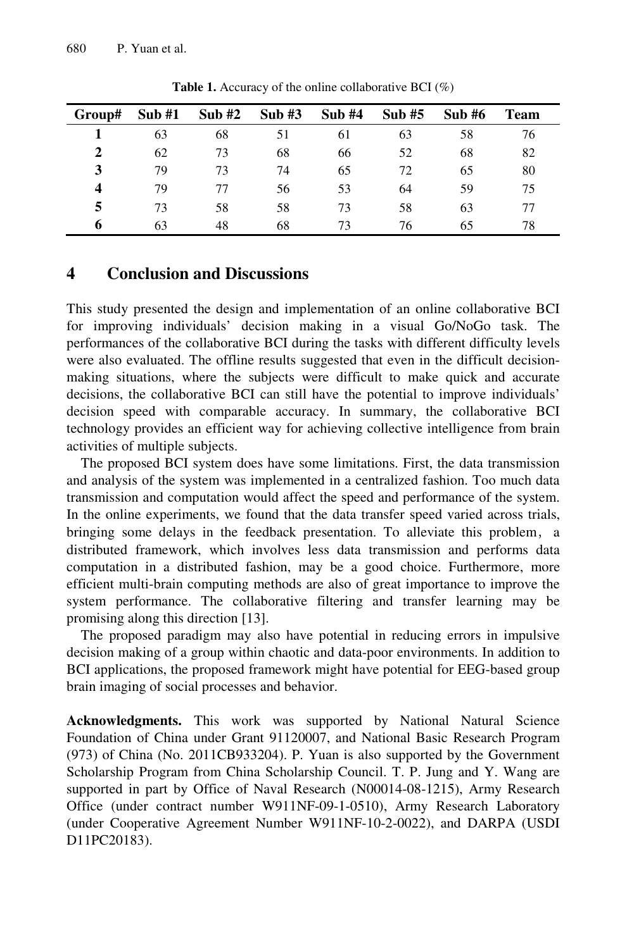| Group# | Sub $#1$ | Sub $#2$ | Sub# $3$ | Sub $#4$ | Sub $#5$ | Sub $#6$ | <b>Team</b> |
|--------|----------|----------|----------|----------|----------|----------|-------------|
|        | 63       | 68       | 51       | 61       | 63       | 58       | 76          |
| 2      | 62       | 73       | 68       | 66       | 52       | 68       | 82          |
| 3      | 79       | 73       | 74       | 65       | 72       | 65       | 80          |
| 4      | 79       | 77       | 56       | 53       | 64       | 59       | 75          |
| 5      | 73       | 58       | 58       | 73       | 58       | 63       | 77          |
| 6      | 63       | 48       | 68       | 73       | 76       | 65       | 78          |

**Table 1.** Accuracy of the online collaborative BCI (%)

# **4 Conclusion and Discussions**

This study presented the design and implementation of an online collaborative BCI for improving individuals' decision making in a visual Go/NoGo task. The performances of the collaborative BCI during the tasks with different difficulty levels were also evaluated. The offline results suggested that even in the difficult decisionmaking situations, where the subjects were difficult to make quick and accurate decisions, the collaborative BCI can still have the potential to improve individuals' decision speed with comparable accuracy. In summary, the collaborative BCI technology provides an efficient way for achieving collective intelligence from brain activities of multiple subjects.

The proposed BCI system does have some limitations. First, the data transmission and analysis of the system was implemented in a centralized fashion. Too much data transmission and computation would affect the speed and performance of the system. In the online experiments, we found that the data transfer speed varied across trials, bringing some delays in the feedback presentation. To alleviate this problem, a distributed framework, which involves less data transmission and performs data computation in a distributed fashion, may be a good choice. Furthermore, more efficient multi-brain computing methods are also of great importance to improve the system performance. The collaborative filtering and transfer learning may be promising along this direction [13].

The proposed paradigm may also have potential in reducing errors in impulsive decision making of a group within chaotic and data-poor environments. In addition to BCI applications, the proposed framework might have potential for EEG-based group brain imaging of social processes and behavior.

**Acknowledgments.** This work was supported by National Natural Science Foundation of China under Grant 91120007, and National Basic Research Program (973) of China (No. 2011CB933204). P. Yuan is also supported by the Government Scholarship Program from China Scholarship Council. T. P. Jung and Y. Wang are supported in part by Office of Naval Research (N00014-08-1215), Army Research Office (under contract number W911NF-09-1-0510), Army Research Laboratory (under Cooperative Agreement Number W911NF-10-2-0022), and DARPA (USDI D11PC20183).